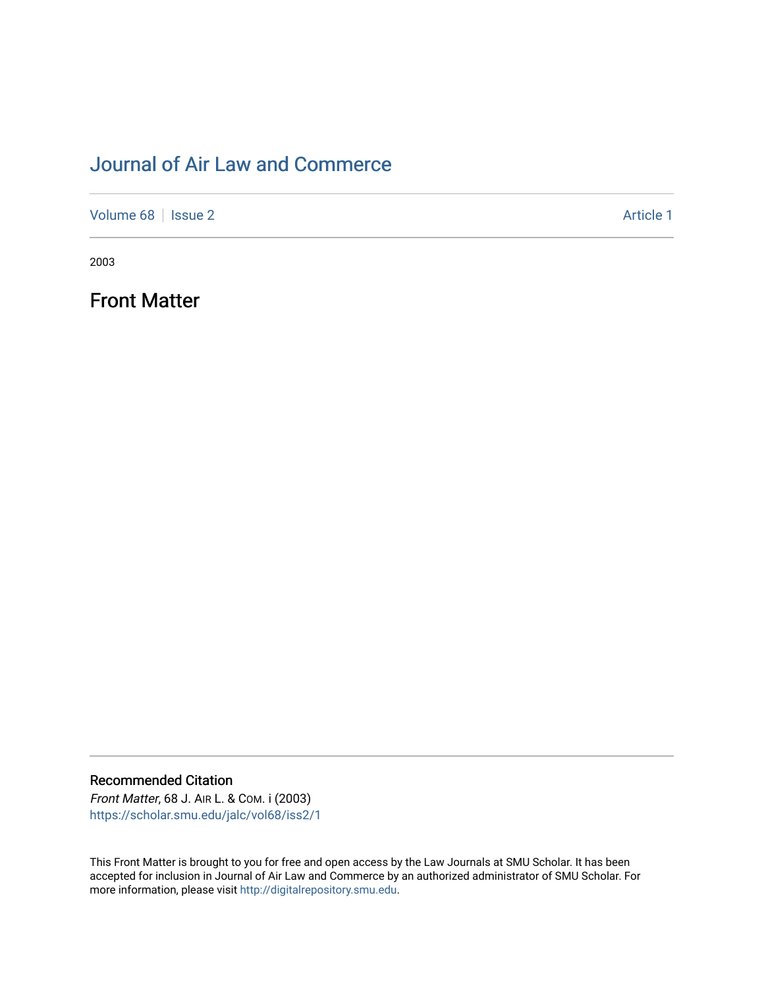## [Journal of Air Law and Commerce](https://scholar.smu.edu/jalc)

[Volume 68](https://scholar.smu.edu/jalc/vol68) | [Issue 2](https://scholar.smu.edu/jalc/vol68/iss2) Article 1

2003

Front Matter

Recommended Citation

Front Matter, 68 J. AIR L. & COM. i (2003) [https://scholar.smu.edu/jalc/vol68/iss2/1](https://scholar.smu.edu/jalc/vol68/iss2/1?utm_source=scholar.smu.edu%2Fjalc%2Fvol68%2Fiss2%2F1&utm_medium=PDF&utm_campaign=PDFCoverPages) 

This Front Matter is brought to you for free and open access by the Law Journals at SMU Scholar. It has been accepted for inclusion in Journal of Air Law and Commerce by an authorized administrator of SMU Scholar. For more information, please visit [http://digitalrepository.smu.edu](http://digitalrepository.smu.edu/).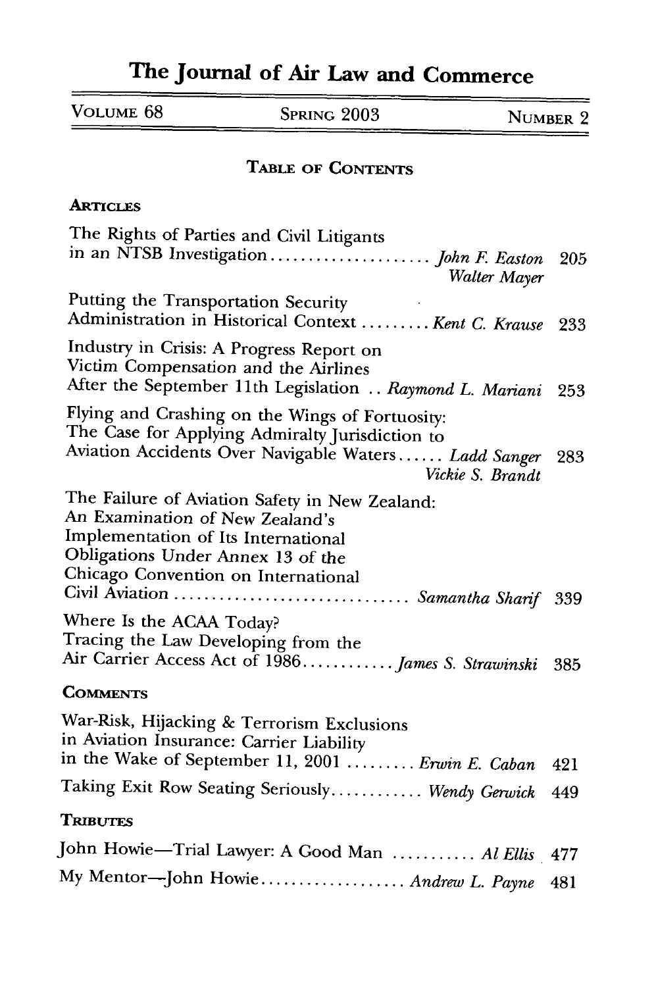## **The Journal of Air Law and Commerce**

| VOLUME 68 | SPRING 2003 | NUMBER 2 |
|-----------|-------------|----------|
|           |             |          |

## **TABLE OF CONTENTS**

## **ARTICLES**

| The Rights of Parties and Civil Litigants<br>Walter Mayer                                                                                                                                                                                   |     |
|---------------------------------------------------------------------------------------------------------------------------------------------------------------------------------------------------------------------------------------------|-----|
| Putting the Transportation Security<br>Administration in Historical Context  Kent C. Krause                                                                                                                                                 | 233 |
| Industry in Crisis: A Progress Report on<br>Victim Compensation and the Airlines<br>After the September 11th Legislation  Raymond L. Mariani                                                                                                | 253 |
| Flying and Crashing on the Wings of Fortuosity:<br>The Case for Applying Admiralty Jurisdiction to<br>Aviation Accidents Over Navigable Waters Ladd Sanger<br>Vickie S. Brandt                                                              | 283 |
| The Failure of Aviation Safety in New Zealand:<br>An Examination of New Zealand's<br>Implementation of Its International<br>Obligations Under Annex 13 of the<br>Chicago Convention on International<br>Civil Aviation  Samantha Sharif 339 |     |
| Where Is the ACAA Today?<br>Tracing the Law Developing from the<br>Air Carrier Access Act of 1986 James S. Strawinski                                                                                                                       | 385 |
| <b>COMMENTS</b>                                                                                                                                                                                                                             |     |
| War-Risk, Hijacking & Terrorism Exclusions<br>in Aviation Insurance: Carrier Liability                                                                                                                                                      |     |
| in the Wake of September 11, 2001  Erwin E. Caban                                                                                                                                                                                           | 421 |
| Taking Exit Row Seating Seriously Wendy Gerwick                                                                                                                                                                                             | 449 |
| <b>TRIBUTES</b>                                                                                                                                                                                                                             |     |
| John Howie-Trial Lawyer: A Good Man  Al Ellis 477                                                                                                                                                                                           |     |
| My Mentor-John Howie Andrew L. Payne                                                                                                                                                                                                        | 481 |